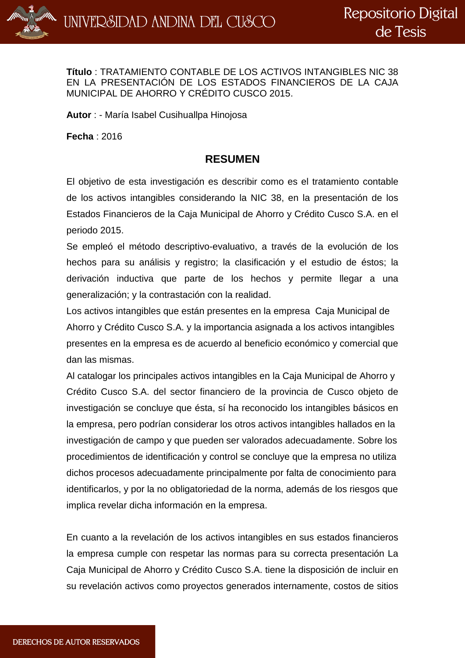

**Título** : TRATAMIENTO CONTABLE DE LOS ACTIVOS INTANGIBLES NIC 38 EN LA PRESENTACIÓN DE LOS ESTADOS FINANCIEROS DE LA CAJA MUNICIPAL DE AHORRO Y CRÉDITO CUSCO 2015.

**Autor** : - María Isabel Cusihuallpa Hinojosa

**Fecha** : 2016

## **RESUMEN**

El objetivo de esta investigación es describir como es el tratamiento contable de los activos intangibles considerando la NIC 38, en la presentación de los Estados Financieros de la Caja Municipal de Ahorro y Crédito Cusco S.A. en el periodo 2015.

Se empleó el método descriptivo-evaluativo, a través de la evolución de los hechos para su análisis y registro; la clasificación y el estudio de éstos; la derivación inductiva que parte de los hechos y permite llegar a una generalización; y la contrastación con la realidad.

Los activos intangibles que están presentes en la empresa Caja Municipal de Ahorro y Crédito Cusco S.A. y la importancia asignada a los activos intangibles presentes en la empresa es de acuerdo al beneficio económico y comercial que dan las mismas.

Al catalogar los principales activos intangibles en la Caja Municipal de Ahorro y Crédito Cusco S.A. del sector financiero de la provincia de Cusco objeto de investigación se concluye que ésta, sí ha reconocido los intangibles básicos en la empresa, pero podrían considerar los otros activos intangibles hallados en la investigación de campo y que pueden ser valorados adecuadamente. Sobre los procedimientos de identificación y control se concluye que la empresa no utiliza dichos procesos adecuadamente principalmente por falta de conocimiento para identificarlos, y por la no obligatoriedad de la norma, además de los riesgos que implica revelar dicha información en la empresa.

En cuanto a la revelación de los activos intangibles en sus estados financieros la empresa cumple con respetar las normas para su correcta presentación La Caja Municipal de Ahorro y Crédito Cusco S.A. tiene la disposición de incluir en su revelación activos como proyectos generados internamente, costos de sitios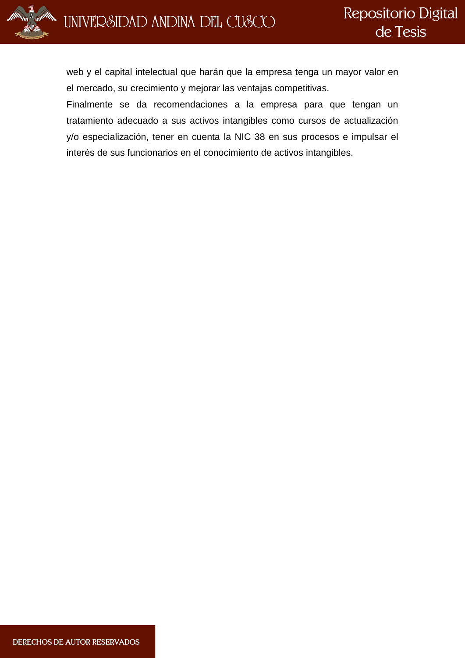



web y el capital intelectual que harán que la empresa tenga un mayor valor en el mercado, su crecimiento y mejorar las ventajas competitivas.

Finalmente se da recomendaciones a la empresa para que tengan un tratamiento adecuado a sus activos intangibles como cursos de actualización y/o especialización, tener en cuenta la NIC 38 en sus procesos e impulsar el interés de sus funcionarios en el conocimiento de activos intangibles.